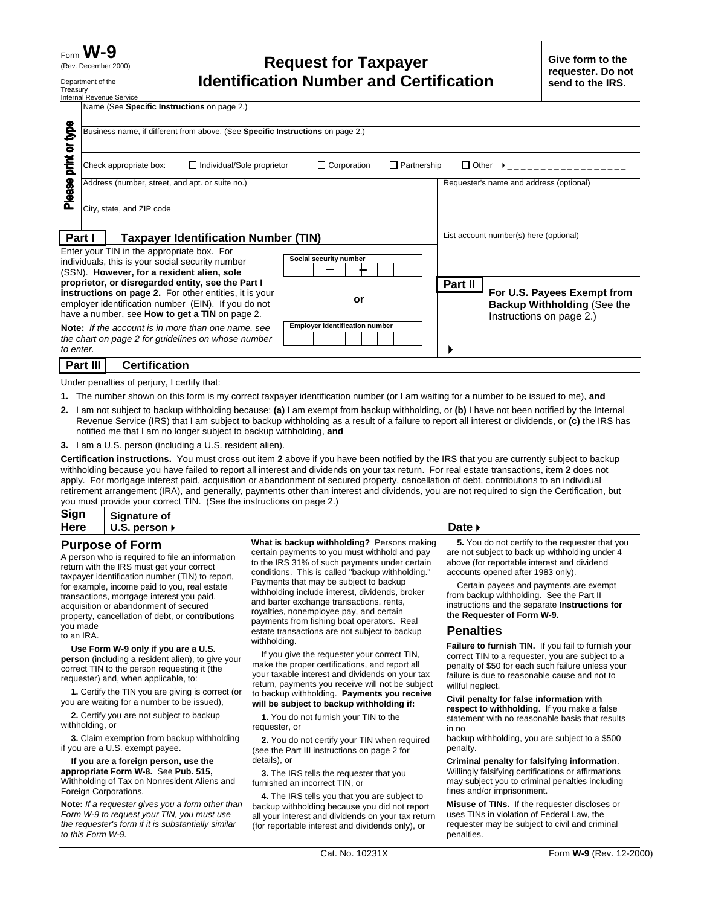(Rev. December 2000)

Department of the Treasury Internal Revenue Service

|               | Name (See Specific Instructions on page 2.)                                                                                                                                                                                 |                                          |                                                                                                          |
|---------------|-----------------------------------------------------------------------------------------------------------------------------------------------------------------------------------------------------------------------------|------------------------------------------|----------------------------------------------------------------------------------------------------------|
| क्ष्य         | Business name, if different from above. (See Specific Instructions on page 2.)                                                                                                                                              |                                          |                                                                                                          |
| print or      | Check appropriate box:<br>$\Box$ Individual/Sole proprietor                                                                                                                                                                 | $\Box$ Partnership<br>$\Box$ Corporation | $\Box$ Other $\rightarrow$                                                                               |
| <b>Please</b> | Address (number, street, and apt. or suite no.)                                                                                                                                                                             |                                          | Requester's name and address (optional)                                                                  |
|               | City, state, and ZIP code                                                                                                                                                                                                   |                                          |                                                                                                          |
| Part I        | <b>Taxpayer Identification Number (TIN)</b>                                                                                                                                                                                 |                                          | List account number(s) here (optional)                                                                   |
|               | Enter your TIN in the appropriate box. For<br>individuals, this is your social security number<br>(SSN). However, for a resident alien, sole                                                                                | Social security number                   |                                                                                                          |
|               | proprietor, or disregarded entity, see the Part I<br>instructions on page 2. For other entities, it is your<br>employer identification number (EIN). If you do not<br>have a number, see <b>How to get a TIN</b> on page 2. | or                                       | Part II<br>For U.S. Payees Exempt from<br><b>Backup Withholding (See the</b><br>Instructions on page 2.) |
|               | $Note: If the account is in more than one name, so.$                                                                                                                                                                        | <b>Employer identification number</b>    |                                                                                                          |

**Note:** *If the account is in more than one name, see the chart on page 2 for guidelines on whose number to enter.* 

# **Part III | Certification**

Under penalties of perjury, I certify that:

- **1.** The number shown on this form is my correct taxpayer identification number (or I am waiting for a number to be issued to me), **and**
- **2.** I am not subject to backup withholding because: **(a)** I am exempt from backup withholding, or **(b)** I have not been notified by the Internal Revenue Service (IRS) that I am subject to backup withholding as a result of a failure to report all interest or dividends, or **(c)** the IRS has notified me that I am no longer subject to backup withholding, **and**
- **3.** I am a U.S. person (including a U.S. resident alien).

**Certification instructions.** You must cross out item **2** above if you have been notified by the IRS that you are currently subject to backup withholding because you have failed to report all interest and dividends on your tax return. For real estate transactions, item **2** does not apply. For mortgage interest paid, acquisition or abandonment of secured property, cancellation of debt, contributions to an individual retirement arrangement (IRA), and generally, payments other than interest and dividends, you are not required to sign the Certification, but you must provide your correct TIN. (See the instructions on page 2.)

#### **Sign Here Signature of U.S. person ▶ Date D Date D Date D Date D**

# **Purpose of Form**

A person who is required to file an information return with the IRS must get your correct taxpayer identification number (TIN) to report, for example, income paid to you, real estate transactions, mortgage interest you paid, acquisition or abandonment of secured property, cancellation of debt, or contributions you made to an IRA.

#### **Use Form W-9 only if you are a U.S. person** (including a resident alien), to give your correct TIN to the person requesting it (the requester) and, when applicable, to:

**1.** Certify the TIN you are giving is correct (or you are waiting for a number to be issued),

**2.** Certify you are not subject to backup withholding, or

 **3.** Claim exemption from backup withholding if you are a U.S. exempt payee.

 **If you are a foreign person, use the appropriate Form W-8.** See **Pub. 515,** Withholding of Tax on Nonresident Aliens and Foreign Corporations.

**Note:** *If a requester gives you a form other than Form W-9 to request your TIN, you must use the requester's form if it is substantially similar to this Form W-9.*

**What is backup withholding?** Persons making certain payments to you must withhold and pay to the IRS 31% of such payments under certain conditions. This is called "backup withholding." Payments that may be subject to backup withholding include interest, dividends, broker and barter exchange transactions, rents, royalties, nonemployee pay, and certain payments from fishing boat operators. Real estate transactions are not subject to backup withholding.

 If you give the requester your correct TIN, make the proper certifications, and report all your taxable interest and dividends on your tax return, payments you receive will not be subject to backup withholding. **Payments you receive will be subject to backup withholding if:**

**1.** You do not furnish your TIN to the requester, or

**2.** You do not certify your TIN when required (see the Part III instructions on page 2 for details), or

 **3.** The IRS tells the requester that you furnished an incorrect TIN, or

**4.** The IRS tells you that you are subject to backup withholding because you did not report all your interest and dividends on your tax return (for reportable interest and dividends only), or

 $\blacktriangleright$ 

 **5.** You do not certify to the requester that you are not subject to back up withholding under 4 above (for reportable interest and dividend accounts opened after 1983 only).

 Certain payees and payments are exempt from backup withholding. See the Part II instructions and the separate **Instructions for the Requester of Form W-9.**

# **Penalties**

**Failure to furnish TIN.** If you fail to furnish your correct TIN to a requester, you are subject to a penalty of \$50 for each such failure unless your failure is due to reasonable cause and not to willful neglect.

## **Civil penalty for false information with**

**respect to withholding**. If you make a false statement with no reasonable basis that results in no

backup withholding, you are subject to a \$500 penalty.

**Criminal penalty for falsifying information**. Willingly falsifying certifications or affirmations may subject you to criminal penalties including fines and/or imprisonment.

**Misuse of TINs.** If the requester discloses or uses TINs in violation of Federal Law, the requester may be subject to civil and criminal penalties.